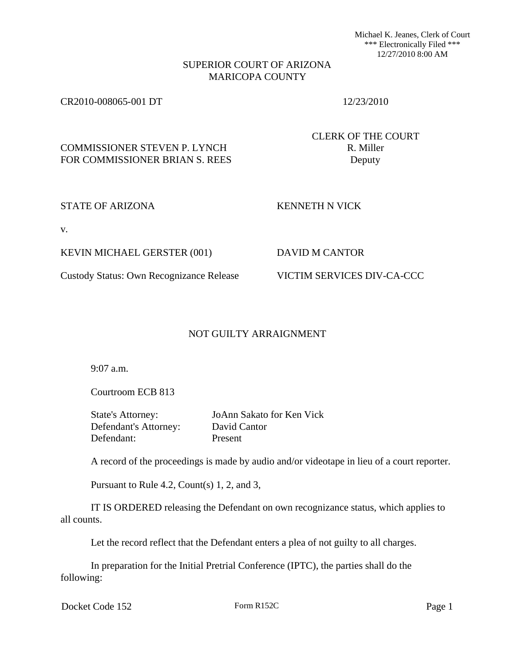Michael K. Jeanes, Clerk of Court \*\*\* Electronically Filed \*\*\* 12/27/2010 8:00 AM

## SUPERIOR COURT OF ARIZONA MARICOPA COUNTY

### CR2010-008065-001 DT 12/23/2010

CLERK OF THE COURT

# COMMISSIONER STEVEN P. LYNCH R. Miller FOR COMMISSIONER BRIAN S. REES Deputy

## STATE OF ARIZONA KENNETH N VICK

v.

KEVIN MICHAEL GERSTER (001) DAVID M CANTOR

## Custody Status: Own Recognizance Release VICTIM SERVICES DIV-CA-CCC

## NOT GUILTY ARRAIGNMENT

9:07 a.m.

Courtroom ECB 813

State's Attorney: JoAnn Sakato for Ken Vick Defendant's Attorney: David Cantor Defendant: Present

A record of the proceedings is made by audio and/or videotape in lieu of a court reporter.

Pursuant to Rule 4.2, Count(s) 1, 2, and 3,

IT IS ORDERED releasing the Defendant on own recognizance status, which applies to all counts.

Let the record reflect that the Defendant enters a plea of not guilty to all charges.

In preparation for the Initial Pretrial Conference (IPTC), the parties shall do the following:

Docket Code 152 Form R152C Page 1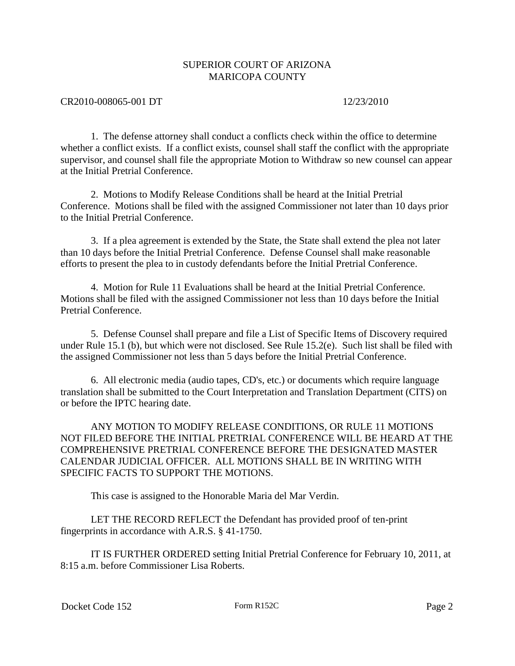## SUPERIOR COURT OF ARIZONA MARICOPA COUNTY

### CR2010-008065-001 DT 12/23/2010

1. The defense attorney shall conduct a conflicts check within the office to determine whether a conflict exists. If a conflict exists, counsel shall staff the conflict with the appropriate supervisor, and counsel shall file the appropriate Motion to Withdraw so new counsel can appear at the Initial Pretrial Conference.

2. Motions to Modify Release Conditions shall be heard at the Initial Pretrial Conference. Motions shall be filed with the assigned Commissioner not later than 10 days prior to the Initial Pretrial Conference.

3. If a plea agreement is extended by the State, the State shall extend the plea not later than 10 days before the Initial Pretrial Conference. Defense Counsel shall make reasonable efforts to present the plea to in custody defendants before the Initial Pretrial Conference.

4. Motion for Rule 11 Evaluations shall be heard at the Initial Pretrial Conference. Motions shall be filed with the assigned Commissioner not less than 10 days before the Initial Pretrial Conference.

5. Defense Counsel shall prepare and file a List of Specific Items of Discovery required under Rule 15.1 (b), but which were not disclosed. See Rule 15.2(e). Such list shall be filed with the assigned Commissioner not less than 5 days before the Initial Pretrial Conference.

6. All electronic media (audio tapes, CD's, etc.) or documents which require language translation shall be submitted to the Court Interpretation and Translation Department (CITS) on or before the IPTC hearing date.

ANY MOTION TO MODIFY RELEASE CONDITIONS, OR RULE 11 MOTIONS NOT FILED BEFORE THE INITIAL PRETRIAL CONFERENCE WILL BE HEARD AT THE COMPREHENSIVE PRETRIAL CONFERENCE BEFORE THE DESIGNATED MASTER CALENDAR JUDICIAL OFFICER. ALL MOTIONS SHALL BE IN WRITING WITH SPECIFIC FACTS TO SUPPORT THE MOTIONS.

This case is assigned to the Honorable Maria del Mar Verdin.

LET THE RECORD REFLECT the Defendant has provided proof of ten-print fingerprints in accordance with A.R.S. § 41-1750.

IT IS FURTHER ORDERED setting Initial Pretrial Conference for February 10, 2011, at 8:15 a.m. before Commissioner Lisa Roberts.